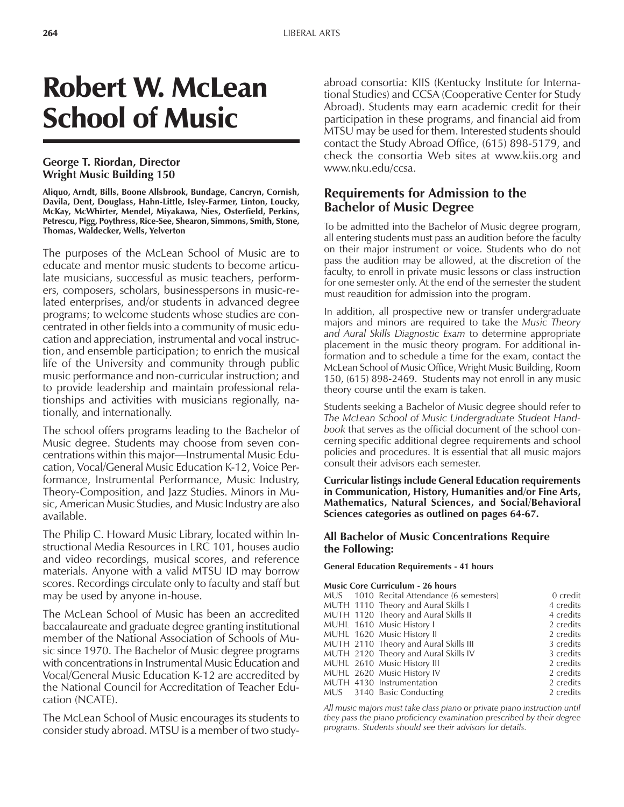# Robert W. McLean School of Music

# **George T. Riordan, Director Wright Music Building 150**

**Aliquo, Arndt, Bills, Boone Allsbrook, Bundage, Cancryn, Cornish, Davila, Dent, Douglass, Hahn-Little, Isley-Farmer, Linton, Loucky, McKay, McWhirter, Mendel, Miyakawa, Nies, Osterfield, Perkins, Petrescu, Pigg, Poythress, Rice-See, Shearon, Simmons, Smith, Stone, Thomas, Waldecker, Wells, Yelverton**

The purposes of the McLean School of Music are to educate and mentor music students to become articulate musicians, successful as music teachers, performers, composers, scholars, businesspersons in music-related enterprises, and/or students in advanced degree programs; to welcome students whose studies are concentrated in other fields into a community of music education and appreciation, instrumental and vocal instruction, and ensemble participation; to enrich the musical life of the University and community through public music performance and non-curricular instruction; and to provide leadership and maintain professional relationships and activities with musicians regionally, nationally, and internationally.

The school offers programs leading to the Bachelor of Music degree. Students may choose from seven concentrations within this major—Instrumental Music Education, Vocal/General Music Education K-12, Voice Performance, Instrumental Performance, Music Industry, Theory-Composition, and Jazz Studies. Minors in Music, American Music Studies, and Music Industry are also available.

The Philip C. Howard Music Library, located within Instructional Media Resources in LRC 101, houses audio and video recordings, musical scores, and reference materials. Anyone with a valid MTSU ID may borrow scores. Recordings circulate only to faculty and staff but may be used by anyone in-house.

The McLean School of Music has been an accredited baccalaureate and graduate degree granting institutional member of the National Association of Schools of Music since 1970. The Bachelor of Music degree programs with concentrations in Instrumental Music Education and Vocal/General Music Education K-12 are accredited by the National Council for Accreditation of Teacher Education (NCATE).

The McLean School of Music encourages its students to consider study abroad. MTSU is a member of two studyabroad consortia: KIIS (Kentucky Institute for International Studies) and CCSA (Cooperative Center for Study Abroad). Students may earn academic credit for their participation in these programs, and financial aid from MTSU may be used for them. Interested students should contact the Study Abroad Office, (615) 898-5179, and check the consortia Web sites at www.kiis.org and www.nku.edu/ccsa.

# **Requirements for Admission to the Bachelor of Music Degree**

To be admitted into the Bachelor of Music degree program, all entering students must pass an audition before the faculty on their major instrument or voice. Students who do not pass the audition may be allowed, at the discretion of the faculty, to enroll in private music lessons or class instruction for one semester only. At the end of the semester the student must reaudition for admission into the program.

In addition, all prospective new or transfer undergraduate majors and minors are required to take the *Music Theory and Aural Skills Diagnostic Exam* to determine appropriate placement in the music theory program. For additional information and to schedule a time for the exam, contact the McLean School of Music Office, Wright Music Building, Room 150, (615) 898-2469. Students may not enroll in any music theory course until the exam is taken.

Students seeking a Bachelor of Music degree should refer to *The McLean School of Music Undergraduate Student Handbook* that serves as the official document of the school concerning specific additional degree requirements and school policies and procedures. It is essential that all music majors consult their advisors each semester.

**Curricular listings include General Education requirements in Communication, History, Humanities and/or Fine Arts, Mathematics, Natural Sciences, and Social/Behavioral Sciences categories as outlined on pages 64-67.**

## **All Bachelor of Music Concentrations Require the Following:**

**General Education Requirements - 41 hours**

#### **Music Core Curriculum - 26 hours**

|  | MUS 1010 Recital Attendance (6 semesters) | 0 credit  |
|--|-------------------------------------------|-----------|
|  | MUTH 1110 Theory and Aural Skills I       | 4 credits |
|  | MUTH 1120 Theory and Aural Skills II      | 4 credits |
|  | MUHL 1610 Music History I                 | 2 credits |
|  | MUHL 1620 Music History II                | 2 credits |
|  | MUTH 2110 Theory and Aural Skills III     | 3 credits |
|  | MUTH 2120 Theory and Aural Skills IV      | 3 credits |
|  | MUHL 2610 Music History III               | 2 credits |
|  | MUHL 2620 Music History IV                | 2 credits |
|  | MUTH 4130 Instrumentation                 | 2 credits |
|  | MUS 3140 Basic Conducting                 | 2 credits |

*All music majors must take class piano or private piano instruction until they pass the piano proficiency examination prescribed by their degree programs. Students should see their advisors for details.*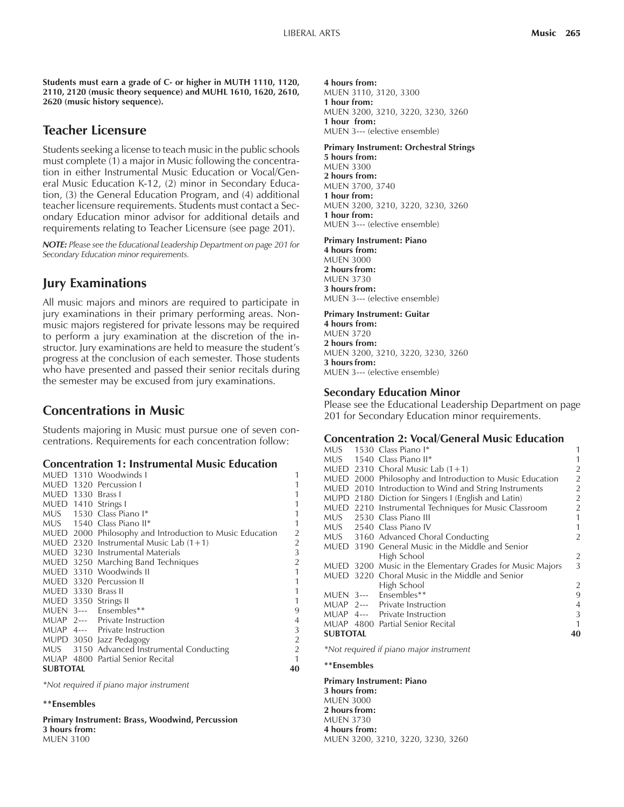**Students must earn a grade of C- or higher in MUTH 1110, 1120, 2110, 2120 (music theory sequence) and MUHL 1610, 1620, 2610, 2620 (music history sequence).**

# **Teacher Licensure**

Students seeking a license to teach music in the public schools must complete (1) a major in Music following the concentration in either Instrumental Music Education or Vocal/General Music Education K-12, (2) minor in Secondary Education, (3) the General Education Program, and (4) additional teacher licensure requirements. Students must contact a Secondary Education minor advisor for additional details and requirements relating to Teacher Licensure (see page 201).

*NOTE: Please see the Educational Leadership Department on page 201 for Secondary Education minor requirements.*

# **Jury Examinations**

All music majors and minors are required to participate in jury examinations in their primary performing areas. Nonmusic majors registered for private lessons may be required to perform a jury examination at the discretion of the instructor. Jury examinations are held to measure the student's progress at the conclusion of each semester. Those students who have presented and passed their senior recitals during the semester may be excused from jury examinations.

# **Concentrations in Music**

Students majoring in Music must pursue one of seven concentrations. Requirements for each concentration follow:

### **Concentration 1: Instrumental Music Education**

|                    | MUED 1310 Woodwinds I                                    | 1              |
|--------------------|----------------------------------------------------------|----------------|
|                    | MUED 1320 Percussion I                                   |                |
| MUED 1330 Brass I  |                                                          |                |
|                    | MUED 1410 Strings I                                      |                |
|                    | MUS 1530 Class Piano I*                                  | 1              |
|                    | MUS 1540 Class Piano II*                                 | 1              |
|                    | MUED 2000 Philosophy and Introduction to Music Education | $\overline{2}$ |
|                    | MUED 2320 Instrumental Music Lab $(1+1)$                 | $\overline{2}$ |
|                    | MUED 3230 Instrumental Materials                         | 3              |
|                    | MUED 3250 Marching Band Techniques                       | $\overline{2}$ |
|                    | MUED 3310 Woodwinds II                                   | 1              |
|                    | MUED 3320 Percussion II                                  | 1              |
| MUED 3330 Brass II |                                                          | 1              |
|                    | MUED 3350 Strings II                                     | 1              |
|                    | MUEN 3--- Ensembles**                                    | 9              |
|                    | MUAP 2--- Private Instruction                            | 4              |
|                    | MUAP 4--- Private Instruction                            | 3              |
|                    | MUPD 3050 Jazz Pedagogy                                  | $\overline{2}$ |
|                    | MUS 3150 Advanced Instrumental Conducting                | 2              |
|                    | MUAP 4800 Partial Senior Recital                         | 1              |
| <b>SUBTOTAL</b>    |                                                          | 40             |
|                    |                                                          |                |

*\*Not required if piano major instrument*

#### **\*\*Ensembles**

**Primary Instrument: Brass, Woodwind, Percussion 3 hours from:** MUEN 3100

**4 hours from:** MUEN 3110, 3120, 3300 **1 hour from:** MUEN 3200, 3210, 3220, 3230, 3260 **1 hour from:** MUEN 3--- (elective ensemble)

#### **Primary Instrument: Orchestral Strings**

**5 hours from:** MUEN 3300 **2 hours from:** MUEN 3700, 3740 **1 hour from:** MUEN 3200, 3210, 3220, 3230, 3260 **1 hour from:** MUEN 3--- (elective ensemble)

#### **Primary Instrument: Piano**

**4 hours from:** MUEN 3000 **2 hours from:** MUEN 3730 **3 hours from:** MUEN 3--- (elective ensemble)

#### **Primary Instrument: Guitar**

**4 hours from:** MUEN 3720 **2 hours from:** MUEN 3200, 3210, 3220, 3230, 3260 **3 hours from:** MUEN 3--- (elective ensemble)

### **Secondary Education Minor**

Please see the Educational Leadership Department on page 201 for Secondary Education minor requirements.

#### **Concentration 2: Vocal/General Music Education**

|                 | MUS 1530 Class Piano I*                                   |                |
|-----------------|-----------------------------------------------------------|----------------|
|                 | MUS 1540 Class Piano II*                                  |                |
|                 | MUED 2310 Choral Music Lab $(1+1)$                        | 2              |
|                 | MUED 2000 Philosophy and Introduction to Music Education  | $\overline{2}$ |
|                 | MUED 2010 Introduction to Wind and String Instruments     | $\mathcal{P}$  |
|                 | MUPD 2180 Diction for Singers I (English and Latin)       | $\overline{2}$ |
|                 | MUED 2210 Instrumental Techniques for Music Classroom     | $\overline{2}$ |
|                 | MUS 2530 Class Piano III                                  | 1              |
|                 | MUS 2540 Class Piano IV                                   | 1              |
|                 | MUS 3160 Advanced Choral Conducting                       | $\overline{2}$ |
|                 | MUED 3190 General Music in the Middle and Senior          |                |
|                 | High School                                               | 2              |
|                 | MUED 3200 Music in the Elementary Grades for Music Majors | 3              |
|                 | MUED 3220 Choral Music in the Middle and Senior           |                |
|                 | High School                                               | 2              |
|                 | MUEN 3--- Ensembles**                                     | 9              |
|                 | MUAP 2--- Private Instruction                             | 4              |
|                 | MUAP 4--- Private Instruction                             | 3              |
|                 | MUAP 4800 Partial Senior Recital                          | 1              |
| <b>SUBTOTAL</b> |                                                           | 40             |
|                 |                                                           |                |

*\*Not required if piano major instrument*

#### **\*\*Ensembles**

**Primary Instrument: Piano 3 hours from:** MUEN 3000 **2 hours from:** MUEN 3730 **4 hours from:** MUEN 3200, 3210, 3220, 3230, 3260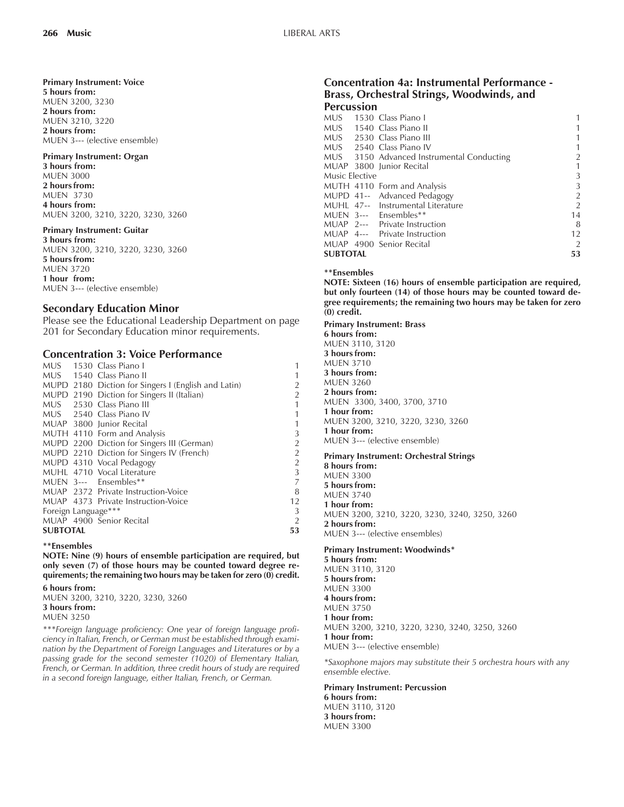#### **Primary Instrument: Voice**

**5 hours from:** MUEN 3200, 3230 **2 hours from:** MUEN 3210, 3220 **2 hours from:** MUEN 3--- (elective ensemble)

### **Primary Instrument: Organ**

**3 hours from:** MUEN 3000 **2 hours from:** MUEN 3730 **4 hours from:** MUEN 3200, 3210, 3220, 3230, 3260

#### **Primary Instrument: Guitar**

**3 hours from:** MUEN 3200, 3210, 3220, 3230, 3260 **5 hours from:** MUEN 3720 **1 hour from:** MUEN 3--- (elective ensemble)

# **Secondary Education Minor**

Please see the Educational Leadership Department on page 201 for Secondary Education minor requirements.

# **Concentration 3: Voice Performance**

|                     |  | MUS 1530 Class Piano I                              |                |
|---------------------|--|-----------------------------------------------------|----------------|
|                     |  | MUS 1540 Class Piano II                             |                |
|                     |  | MUPD 2180 Diction for Singers I (English and Latin) |                |
|                     |  | MUPD 2190 Diction for Singers II (Italian)          | $\overline{2}$ |
|                     |  | MUS 2530 Class Piano III                            | 1              |
|                     |  | MUS 2540 Class Piano IV                             | 1              |
|                     |  | MUAP 3800 Junior Recital                            | 1              |
|                     |  | MUTH 4110 Form and Analysis                         | 3              |
|                     |  | MUPD 2200 Diction for Singers III (German)          | $\overline{2}$ |
|                     |  | MUPD 2210 Diction for Singers IV (French)           | $\overline{2}$ |
|                     |  | MUPD 4310 Vocal Pedagogy                            | $\overline{2}$ |
|                     |  | MUHL 4710 Vocal Literature                          | 3              |
|                     |  | MUEN 3--- Ensembles**                               | 7              |
|                     |  | MUAP 2372 Private Instruction-Voice                 | 8              |
|                     |  | MUAP 4373 Private Instruction-Voice                 | 12             |
| Foreign Language*** |  | 3                                                   |                |
|                     |  | MUAP 4900 Senior Recital                            | $\overline{2}$ |
| <b>SUBTOTAL</b>     |  |                                                     | 53             |

#### **\*\*Ensembles**

**NOTE: Nine (9) hours of ensemble participation are required, but only seven (7) of those hours may be counted toward degree requirements; the remaining two hours may be taken for zero (0) credit.**

**6 hours from:** MUEN 3200, 3210, 3220, 3230, 3260 **3 hours from:** MUEN 3250

*\*\*\*Foreign language proficiency: One year of foreign language proficiency in Italian, French, or German must be established through examination by the Department of Foreign Languages and Literatures or by a passing grade for the second semester (1020) of Elementary Italian, French, or German. In addition, three credit hours of study are required in a second foreign language, either Italian, French, or German.*

# **Concentration 4a: Instrumental Performance - Brass, Orchestral Strings, Woodwinds, and Percussion**

| MUS.            |  | 1530 Class Piano I                        |                |
|-----------------|--|-------------------------------------------|----------------|
|                 |  | MUS 1540 Class Piano II                   |                |
|                 |  | MUS 2530 Class Piano III                  |                |
|                 |  | MUS 2540 Class Piano IV                   |                |
|                 |  | MUS 3150 Advanced Instrumental Conducting |                |
|                 |  | MUAP 3800 Junior Recital                  |                |
| Music Elective  |  |                                           | 3              |
|                 |  | MUTH 4110 Form and Analysis               | 3              |
|                 |  | MUPD 41-- Advanced Pedagogy               | $\overline{2}$ |
|                 |  | MUHL 47-- Instrumental Literature         | 2              |
|                 |  | MUEN 3--- Ensembles**                     | 14             |
|                 |  | MUAP 2--- Private Instruction             | 8              |
|                 |  | MUAP 4--- Private Instruction             | 12             |
|                 |  | MUAP 4900 Senior Recital                  |                |
| <b>SUBTOTAL</b> |  |                                           | 53             |

#### **\*\*Ensembles**

**NOTE: Sixteen (16) hours of ensemble participation are required, but only fourteen (14) of those hours may be counted toward degree requirements; the remaining two hours may be taken for zero (0) credit.**

**Primary Instrument: Brass 6 hours from:** MUEN 3110, 3120 **3 hours from:** MUEN 3710 **3 hours from:** MUEN 3260 **2 hours from:** MUEN 3300, 3400, 3700, 3710 **1 hour from:** MUEN 3200, 3210, 3220, 3230, 3260 **1 hour from:** MUEN 3--- (elective ensemble)

#### **Primary Instrument: Orchestral Strings**

**8 hours from:** MUEN 3300 **5 hours from:** MUEN 3740 **1 hour from:** MUEN 3200, 3210, 3220, 3230, 3240, 3250, 3260 **2 hours from:** MUEN 3--- (elective ensembles)

#### **Primary Instrument: Woodwinds\***

**5 hours from:** MUEN 3110, 3120 **5 hours from:** MUEN 3300 **4 hours from:** MUEN 3750 **1 hour from:** MUEN 3200, 3210, 3220, 3230, 3240, 3250, 3260 **1 hour from:** MUEN 3--- (elective ensemble)

*\*Saxophone majors may substitute their 5 orchestra hours with any ensemble elective.*

**Primary Instrument: Percussion 6 hours from:** MUEN 3110, 3120 **3 hours from:**

MUEN 3300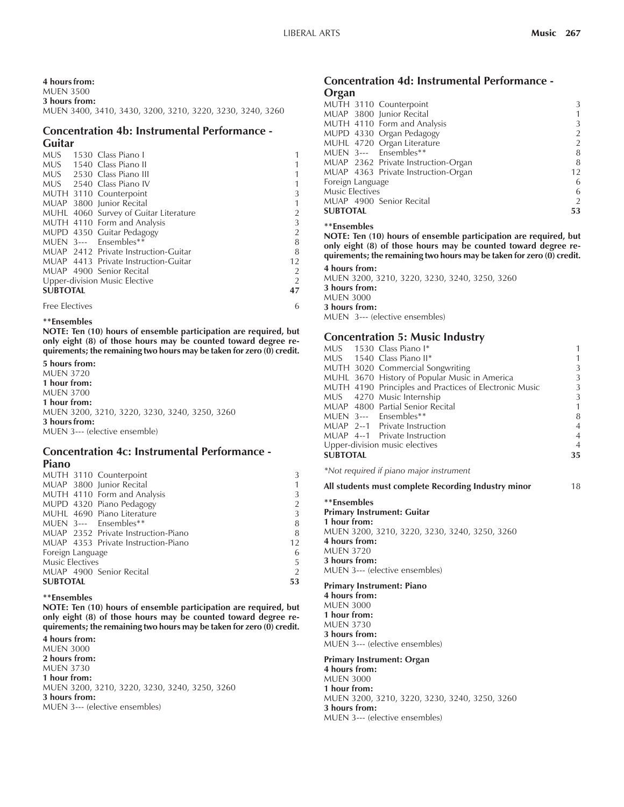### **4 hours from:**

MUEN 3500 **3 hours from:** MUEN 3400, 3410, 3430, 3200, 3210, 3220, 3230, 3240, 3260

#### **Concentration 4b: Instrumental Performance - Guitar**

|                 | MUS 1530 Class Piano I                |                |
|-----------------|---------------------------------------|----------------|
|                 | MUS 1540 Class Piano II               |                |
|                 | MUS 2530 Class Piano III              |                |
|                 | MUS 2540 Class Piano IV               |                |
|                 | MUTH 3110 Counterpoint                | 3              |
|                 | MUAP 3800 Junior Recital              |                |
|                 | MUHL 4060 Survey of Guitar Literature |                |
|                 | MUTH 4110 Form and Analysis           | 3              |
|                 | MUPD 4350 Guitar Pedagogy             | 2              |
|                 | MUEN 3--- Ensembles**                 | 8              |
|                 | MUAP 2412 Private Instruction-Guitar  | 8              |
|                 | MUAP 4413 Private Instruction-Guitar  | 12             |
|                 | MUAP 4900 Senior Recital              | 2              |
|                 | Upper-division Music Elective         | $\mathfrak{D}$ |
| <b>SUBTOTAL</b> |                                       |                |
|                 |                                       |                |

Free Electives 6

#### **\*\*Ensembles**

**NOTE: Ten (10) hours of ensemble participation are required, but only eight (8) of those hours may be counted toward degree requirements; the remaining two hours may be taken for zero (0) credit.**

#### **5 hours from:**

MUEN 3720 **1 hour from:** MUEN 3700 **1 hour from:** MUEN 3200, 3210, 3220, 3230, 3240, 3250, 3260 **3 hours from:** MUEN 3--- (elective ensemble)

#### **Concentration 4c: Instrumental Performance - Piano**

|                        | MUTH 3110 Counterpoint              | 3              |
|------------------------|-------------------------------------|----------------|
|                        | MUAP 3800 Junior Recital            | 1              |
|                        | MUTH 4110 Form and Analysis         | 3              |
|                        | MUPD 4320 Piano Pedagogy            | $\overline{2}$ |
|                        | MUHL 4690 Piano Literature          | 3              |
|                        | MUEN 3--- Ensembles**               | 8              |
|                        | MUAP 2352 Private Instruction-Piano | 8              |
|                        | MUAP 4353 Private Instruction-Piano | 12             |
| Foreign Language       |                                     | 6              |
| <b>Music Electives</b> |                                     | 5              |
|                        | MUAP 4900 Senior Recital            | $\overline{2}$ |
| <b>SUBTOTAL</b>        |                                     | 53             |
|                        |                                     |                |

#### **\*\*Ensembles**

**NOTE: Ten (10) hours of ensemble participation are required, but only eight (8) of those hours may be counted toward degree requirements; the remaining two hours may be taken for zero (0) credit.**

**4 hours from:** MUEN 3000 **2 hours from:** MUEN 3730 **1 hour from:** MUEN 3200, 3210, 3220, 3230, 3240, 3250, 3260 **3 hours from:** MUEN 3--- (elective ensembles)

#### **Concentration 4d: Instrumental Performance - Organ**

| ---                                 |    |
|-------------------------------------|----|
| MUTH 3110 Counterpoint              | 3  |
| MUAP 3800 Junior Recital            |    |
| MUTH 4110 Form and Analysis         | 3  |
| MUPD 4330 Organ Pedagogy            | 2  |
| MUHL 4720 Organ Literature          | 2  |
| MUEN 3--- Ensembles**               | 8  |
| MUAP 2362 Private Instruction-Organ | 8  |
| MUAP 4363 Private Instruction-Organ | 12 |
| Foreign Language                    | 6  |
| <b>Music Electives</b>              | 6  |
| MUAP 4900 Senior Recital            | 2  |
| <b>SUBTOTAL</b>                     | 53 |

#### **\*\*Ensembles**

**NOTE: Ten (10) hours of ensemble participation are required, but only eight (8) of those hours may be counted toward degree requirements; the remaining two hours may be taken for zero (0) credit.**

**4 hours from:** MUEN 3200, 3210, 3220, 3230, 3240, 3250, 3260 **3 hours from:** MUEN 3000 **3 hours from:**

MUEN 3--- (elective ensembles)

### **Concentration 5: Music Industry**

|                 | MUS 1530 Class Piano I*                                | 1              |
|-----------------|--------------------------------------------------------|----------------|
|                 | MUS 1540 Class Piano II*                               | 1              |
|                 | MUTH 3020 Commercial Songwriting                       | 3              |
|                 | MUHL 3670 History of Popular Music in America          | 3              |
|                 | MUTH 4190 Principles and Practices of Electronic Music | 3              |
|                 | MUS 4270 Music Internship                              | 3              |
|                 | MUAP 4800 Partial Senior Recital                       | $\mathbf{1}$   |
|                 | MUEN 3--- Ensembles**                                  | 8              |
|                 | MUAP 2--1 Private Instruction                          | $\overline{4}$ |
|                 | MUAP 4--1 Private Instruction                          | $\overline{4}$ |
|                 | Upper-division music electives                         | $\overline{4}$ |
| <b>SUBTOTAL</b> |                                                        | 35             |
|                 |                                                        |                |

*\*Not required if piano major instrument*

#### **All students must complete Recording Industry minor** 18

**\*\*Ensembles Primary Instrument: Guitar 1 hour from:** MUEN 3200, 3210, 3220, 3230, 3240, 3250, 3260 **4 hours from:** MUEN 3720 **3 hours from:** MUEN 3--- (elective ensembles)

#### **Primary Instrument: Piano**

**4 hours from:** MUEN 3000 **1 hour from:** MUEN 3730 **3 hours from:** MUEN 3--- (elective ensembles)

**Primary Instrument: Organ**

**4 hours from:** MUEN 3000 **1 hour from:** MUEN 3200, 3210, 3220, 3230, 3240, 3250, 3260 **3 hours from:** MUEN 3--- (elective ensembles)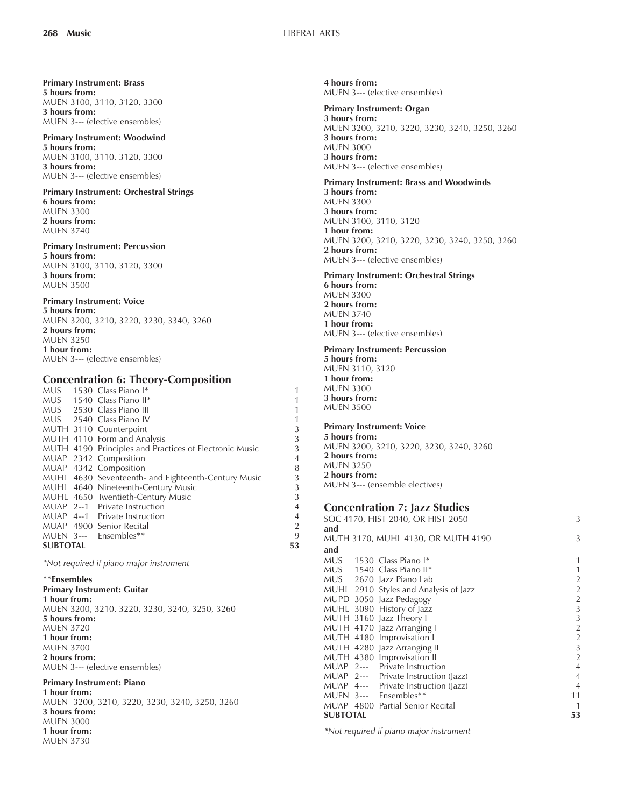**Primary Instrument: Brass 5 hours from:** MUEN 3100, 3110, 3120, 3300 **3 hours from:** MUEN 3--- (elective ensembles)

#### **Primary Instrument: Woodwind 5 hours from:** MUEN 3100, 3110, 3120, 3300 **3 hours from:** MUEN 3--- (elective ensembles)

**Primary Instrument: Orchestral Strings 6 hours from:** MUEN 3300 **2 hours from:** MUEN 3740

#### **Primary Instrument: Percussion 5 hours from:** MUEN 3100, 3110, 3120, 3300 **3 hours from:** MUEN 3500

# **Primary Instrument: Voice**

**5 hours from:** MUEN 3200, 3210, 3220, 3230, 3340, 3260 **2 hours from:** MUEN 3250 **1 hour from:** MUEN 3--- (elective ensembles)

# **Concentration 6: Theory-Composition**

|                 |  | MUS 1530 Class Piano I*                                | 1              |
|-----------------|--|--------------------------------------------------------|----------------|
|                 |  | MUS 1540 Class Piano II*                               | 1              |
|                 |  | MUS 2530 Class Piano III                               | 1              |
|                 |  | MUS 2540 Class Piano IV                                | 1              |
|                 |  | MUTH 3110 Counterpoint                                 | 3              |
|                 |  | MUTH 4110 Form and Analysis                            | 3              |
|                 |  | MUTH 4190 Principles and Practices of Electronic Music | 3              |
|                 |  | MUAP 2342 Composition                                  | $\overline{4}$ |
|                 |  | MUAP 4342 Composition                                  | 8              |
|                 |  | MUHL 4630 Seventeenth- and Eighteenth-Century Music    | 3              |
|                 |  | MUHL 4640 Nineteenth-Century Music                     | 3              |
|                 |  | MUHL 4650 Twentieth-Century Music                      | 3              |
|                 |  | MUAP 2--1 Private Instruction                          | $\overline{4}$ |
|                 |  | MUAP 4--1 Private Instruction                          | $\overline{4}$ |
|                 |  | MUAP 4900 Senior Recital                               | $\overline{2}$ |
|                 |  | MUEN 3--- Ensembles**                                  | 9              |
| <b>SUBTOTAL</b> |  |                                                        | 53             |

*\*Not required if piano major instrument*

**\*\*Ensembles Primary Instrument: Guitar 1 hour from:** MUEN 3200, 3210, 3220, 3230, 3240, 3250, 3260 **5 hours from:** MUEN 3720 **1 hour from:** MUEN 3700 **2 hours from:** MUEN 3--- (elective ensembles)

#### **Primary Instrument: Piano**

**1 hour from:** MUEN 3200, 3210, 3220, 3230, 3240, 3250, 3260 **3 hours from:** MUEN 3000 **1 hour from:** MUEN 3730

**4 hours from:** MUEN 3--- (elective ensembles)

**Primary Instrument: Organ 3 hours from:** MUEN 3200, 3210, 3220, 3230, 3240, 3250, 3260 **3 hours from:** MUEN 3000 **3 hours from:** MUEN 3--- (elective ensembles)

**Primary Instrument: Brass and Woodwinds 3 hours from:** MUEN 3300 **3 hours from:** MUEN 3100, 3110, 3120 **1 hour from:** MUEN 3200, 3210, 3220, 3230, 3240, 3250, 3260 **2 hours from:** MUEN 3--- (elective ensembles)

**Primary Instrument: Orchestral Strings 6 hours from:** MUEN 3300 **2 hours from:** MUEN 3740 **1 hour from:** MUEN 3--- (elective ensembles)

#### **Primary Instrument: Percussion**

**5 hours from:** MUEN 3110, 3120 **1 hour from:** MUEN 3300 **3 hours from:** MUEN 3500

#### **Primary Instrument: Voice**

**5 hours from:** MUEN 3200, 3210, 3220, 3230, 3240, 3260 **2 hours from:** MUEN 3250 **2 hours from:** MUEN 3--- (ensemble electives)

# **Concentration 7: Jazz Studies**

|                 | SOC 4170, HIST 2040, OR HIST 2050 |                                       |                |
|-----------------|-----------------------------------|---------------------------------------|----------------|
| and             |                                   |                                       |                |
|                 |                                   | MUTH 3170, MUHL 4130, OR MUTH 4190    | 3              |
| and             |                                   |                                       |                |
|                 |                                   | MUS 1530 Class Piano I*               | 1              |
|                 |                                   | MUS 1540 Class Piano II*              | 1              |
|                 |                                   | MUS 2670 Jazz Piano Lab               | $\overline{c}$ |
|                 |                                   | MUHL 2910 Styles and Analysis of Jazz | $\sqrt{2}$     |
|                 |                                   | MUPD 3050 Jazz Pedagogy               | $\overline{2}$ |
|                 |                                   | MUHL 3090 History of Jazz             | 3              |
|                 |                                   | MUTH 3160 Jazz Theory I               | 3              |
|                 |                                   | MUTH 4170 Jazz Arranging I            | $\overline{2}$ |
|                 |                                   | MUTH 4180 Improvisation I             | $\overline{2}$ |
|                 |                                   | MUTH 4280 Jazz Arranging II           | 3              |
|                 |                                   | MUTH 4380 Improvisation II            | $\overline{2}$ |
|                 |                                   | MUAP 2--- Private Instruction         | $\overline{4}$ |
|                 |                                   | MUAP 2--- Private Instruction (Jazz)  | $\overline{4}$ |
|                 |                                   | MUAP 4--- Private Instruction (Jazz)  | $\overline{4}$ |
|                 |                                   | MUEN 3--- Ensembles**                 | 11             |
|                 |                                   | MUAP 4800 Partial Senior Recital      | 1              |
| <b>SUBTOTAL</b> |                                   |                                       | 53             |
|                 |                                   |                                       |                |

*\*Not required if piano major instrument*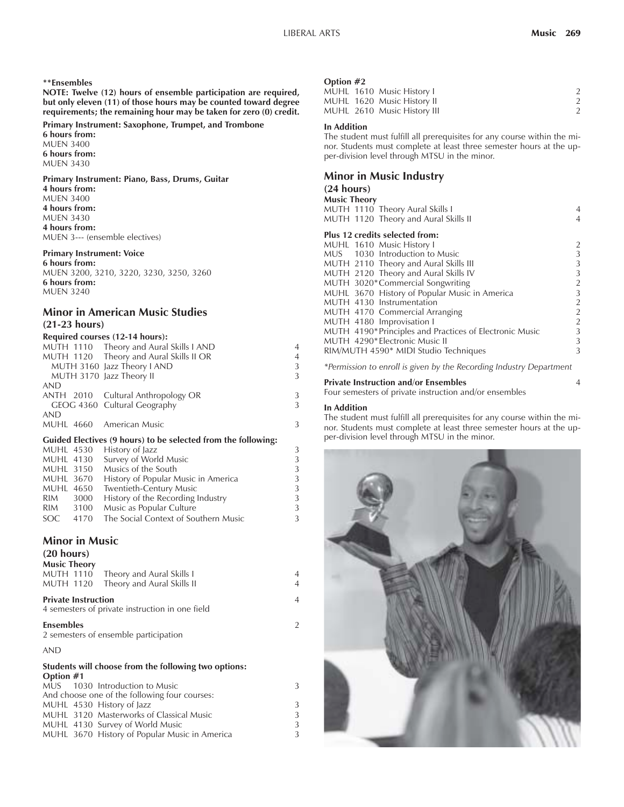#### **\*\*Ensembles**

**NOTE: Twelve (12) hours of ensemble participation are required, but only eleven (11) of those hours may be counted toward degree requirements; the remaining hour may be taken for zero (0) credit.**

#### **Primary Instrument: Saxophone, Trumpet, and Trombone**

**6 hours from:** MUEN 3400 **6 hours from:** MUEN 3430

#### **Primary Instrument: Piano, Bass, Drums, Guitar**

**4 hours from:** MUEN 3400 **4 hours from:** MUEN 3430 **4 hours from:** MUEN 3--- (ensemble electives)

## **Primary Instrument: Voice**

**6 hours from:** MUEN 3200, 3210, 3220, 3230, 3250, 3260 **6 hours from:** MUEN 3240

# **Minor in American Music Studies (21-23 hours)**

#### **Required courses (12-14 hours):**

|            | MUTH 1110 Theory and Aural Skills I AND | $\overline{4}$ |
|------------|-----------------------------------------|----------------|
|            | MUTH 1120 Theory and Aural Skills II OR | $\overline{4}$ |
|            | MUTH 3160 Jazz Theory I AND             | 3              |
|            | MUTH 3170 Jazz Theory II                | 3              |
| <b>AND</b> |                                         |                |
|            | ANTH 2010 Cultural Anthropology OR      | 3              |
|            | GEOG 4360 Cultural Geography            | 3              |
| <b>AND</b> |                                         |                |
|            | MUHL 4660 American Music                | 3              |
|            |                                         |                |

### **Guided Electives (9 hours) to be selected from the following:**

|           |      | MUHL 4530 History of Jazz            | 3 |
|-----------|------|--------------------------------------|---|
| MUHL 4130 |      | Survey of World Music                | 3 |
| MUHL 3150 |      | Musics of the South                  | 3 |
| MUHL 3670 |      | History of Popular Music in America  | 3 |
| MUHL 4650 |      | Twentieth-Century Music              | 3 |
| RIM       | 3000 | History of the Recording Industry    | 3 |
| RIM       | 3100 | Music as Popular Culture             | 3 |
| SOC.      | 4170 | The Social Context of Southern Music | 3 |

### **Minor in Music**

| (20 hours)                                                                    |                |
|-------------------------------------------------------------------------------|----------------|
| <b>Music Theory</b>                                                           |                |
| Theory and Aural Skills I<br><b>MUTH 1110</b>                                 | 4              |
| Theory and Aural Skills II<br><b>MUTH 1120</b>                                | $\overline{4}$ |
| <b>Private Instruction</b><br>4 semesters of private instruction in one field | $\overline{4}$ |
| <b>Ensembles</b><br>2 semesters of ensemble participation                     | $\overline{2}$ |
| <b>AND</b>                                                                    |                |
| Students will choose from the following two options:<br>Option #1             |                |
| MUS 1030 Introduction to Music                                                | 3              |
| And obecase and of the following four courses                                 |                |

| And choose one of the following four courses: |   |  |  |  |  |
|-----------------------------------------------|---|--|--|--|--|
| MUHL 4530 History of Jazz                     | 3 |  |  |  |  |
| MUHL 3120 Masterworks of Classical Music      | 3 |  |  |  |  |
| MUHL 4130 Survey of World Music               | 3 |  |  |  |  |
| MUHL 3670 History of Popular Music in America | 3 |  |  |  |  |
|                                               |   |  |  |  |  |

#### **Option #2**

|  | MUHL 1610 Music History I   |  |
|--|-----------------------------|--|
|  | MUHL 1620 Music History II  |  |
|  | MUHL 2610 Music History III |  |
|  |                             |  |

#### **In Addition**

The student must fulfill all prerequisites for any course within the minor. Students must complete at least three semester hours at the upper-division level through MTSU in the minor.

### **Minor in Music Industry**

### **(24 hours)**

| <b>Music Theory</b>                                     |                |  |  |  |  |  |
|---------------------------------------------------------|----------------|--|--|--|--|--|
| MUTH 1110 Theory Aural Skills I                         | 4              |  |  |  |  |  |
| MUTH 1120 Theory and Aural Skills II                    | 4              |  |  |  |  |  |
| Plus 12 credits selected from:                          |                |  |  |  |  |  |
| MUHL 1610 Music History I                               | 2              |  |  |  |  |  |
| MUS 1030 Introduction to Music                          | 3              |  |  |  |  |  |
| MUTH 2110 Theory and Aural Skills III                   | 3              |  |  |  |  |  |
| MUTH 2120 Theory and Aural Skills IV                    | 3              |  |  |  |  |  |
| MUTH 3020*Commercial Songwriting                        | $\overline{2}$ |  |  |  |  |  |
| MUHL 3670 History of Popular Music in America           | 3              |  |  |  |  |  |
| MUTH 4130 Instrumentation                               | $\overline{2}$ |  |  |  |  |  |
| MUTH 4170 Commercial Arranging                          | $\overline{a}$ |  |  |  |  |  |
| MUTH 4180 Improvisation I                               | $\overline{2}$ |  |  |  |  |  |
| MUTH 4190* Principles and Practices of Electronic Music | 3              |  |  |  |  |  |
| MUTH 4290*Electronic Music II                           | 3              |  |  |  |  |  |
| RIM/MUTH 4590* MIDI Studio Techniques                   | 3              |  |  |  |  |  |

*\*Permission to enroll is given by the Recording Industry Department*

#### **Private Instruction and/or Ensembles** 4

Four semesters of private instruction and/or ensembles

#### **In Addition**

The student must fulfill all prerequisites for any course within the minor. Students must complete at least three semester hours at the upper-division level through MTSU in the minor.

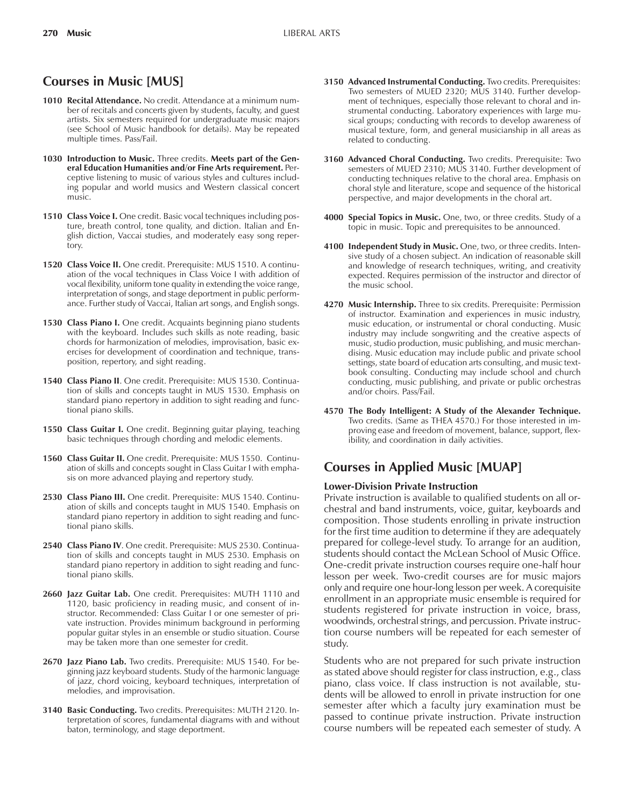# **Courses in Music [MUS]**

- **1010 Recital Attendance.** No credit. Attendance at a minimum number of recitals and concerts given by students, faculty, and guest artists. Six semesters required for undergraduate music majors (see School of Music handbook for details). May be repeated multiple times. Pass/Fail.
- **1030 Introduction to Music.** Three credits. **Meets part of the General Education Humanities and/or Fine Arts requirement.** Perceptive listening to music of various styles and cultures including popular and world musics and Western classical concert music.
- **1510 Class Voice I.** One credit. Basic vocal techniques including posture, breath control, tone quality, and diction. Italian and English diction, Vaccai studies, and moderately easy song repertory.
- **1520 Class Voice II.** One credit. Prerequisite: MUS 1510. A continuation of the vocal techniques in Class Voice I with addition of vocal flexibility, uniform tone quality in extending the voice range, interpretation of songs, and stage deportment in public performance. Further study of Vaccai, Italian art songs, and English songs.
- 1530 Class Piano I. One credit. Acquaints beginning piano students with the keyboard. Includes such skills as note reading, basic chords for harmonization of melodies, improvisation, basic exercises for development of coordination and technique, transposition, repertory, and sight reading.
- **1540 Class Piano II**. One credit. Prerequisite: MUS 1530. Continuation of skills and concepts taught in MUS 1530. Emphasis on standard piano repertory in addition to sight reading and functional piano skills.
- **1550 Class Guitar I.** One credit. Beginning guitar playing, teaching basic techniques through chording and melodic elements.
- **1560 Class Guitar II.** One credit. Prerequisite: MUS 1550. Continuation of skills and concepts sought in Class Guitar I with emphasis on more advanced playing and repertory study.
- **2530 Class Piano III.** One credit. Prerequisite: MUS 1540. Continuation of skills and concepts taught in MUS 1540. Emphasis on standard piano repertory in addition to sight reading and functional piano skills.
- **2540 Class Piano IV**. One credit. Prerequisite: MUS 2530. Continuation of skills and concepts taught in MUS 2530. Emphasis on standard piano repertory in addition to sight reading and functional piano skills.
- **2660 Jazz Guitar Lab.** One credit. Prerequisites: MUTH 1110 and 1120, basic proficiency in reading music, and consent of instructor. Recommended: Class Guitar I or one semester of private instruction. Provides minimum background in performing popular guitar styles in an ensemble or studio situation. Course may be taken more than one semester for credit.
- **2670 Jazz Piano Lab.** Two credits. Prerequisite: MUS 1540. For beginning jazz keyboard students. Study of the harmonic language of jazz, chord voicing, keyboard techniques, interpretation of melodies, and improvisation.
- **3140 Basic Conducting.** Two credits. Prerequisites: MUTH 2120. Interpretation of scores, fundamental diagrams with and without baton, terminology, and stage deportment.
- **3150 Advanced Instrumental Conducting.** Two credits. Prerequisites: Two semesters of MUED 2320; MUS 3140. Further development of techniques, especially those relevant to choral and instrumental conducting. Laboratory experiences with large musical groups; conducting with records to develop awareness of musical texture, form, and general musicianship in all areas as related to conducting.
- **3160 Advanced Choral Conducting.** Two credits. Prerequisite: Two semesters of MUED 2310; MUS 3140. Further development of conducting techniques relative to the choral area. Emphasis on choral style and literature, scope and sequence of the historical perspective, and major developments in the choral art.
- **4000 Special Topics in Music.** One, two, or three credits. Study of a topic in music. Topic and prerequisites to be announced.
- **4100 Independent Study in Music.** One, two, or three credits. Intensive study of a chosen subject. An indication of reasonable skill and knowledge of research techniques, writing, and creativity expected. Requires permission of the instructor and director of the music school.
- **4270 Music Internship.** Three to six credits. Prerequisite: Permission of instructor. Examination and experiences in music industry, music education, or instrumental or choral conducting. Music industry may include songwriting and the creative aspects of music, studio production, music publishing, and music merchandising. Music education may include public and private school settings, state board of education arts consulting, and music textbook consulting. Conducting may include school and church conducting, music publishing, and private or public orchestras and/or choirs. Pass/Fail.
- **4570 The Body Intelligent: A Study of the Alexander Technique.** Two credits. (Same as THEA 4570.) For those interested in improving ease and freedom of movement, balance, support, flexibility, and coordination in daily activities.

# **Courses in Applied Music [MUAP]**

# **Lower-Division Private Instruction**

Private instruction is available to qualified students on all orchestral and band instruments, voice, guitar, keyboards and composition. Those students enrolling in private instruction for the first time audition to determine if they are adequately prepared for college-level study. To arrange for an audition, students should contact the McLean School of Music Office. One-credit private instruction courses require one-half hour lesson per week. Two-credit courses are for music majors only and require one hour-long lesson per week. A corequisite enrollment in an appropriate music ensemble is required for students registered for private instruction in voice, brass, woodwinds, orchestral strings, and percussion. Private instruction course numbers will be repeated for each semester of study.

Students who are not prepared for such private instruction as stated above should register for class instruction, e.g., class piano, class voice. If class instruction is not available, students will be allowed to enroll in private instruction for one semester after which a faculty jury examination must be passed to continue private instruction. Private instruction course numbers will be repeated each semester of study. A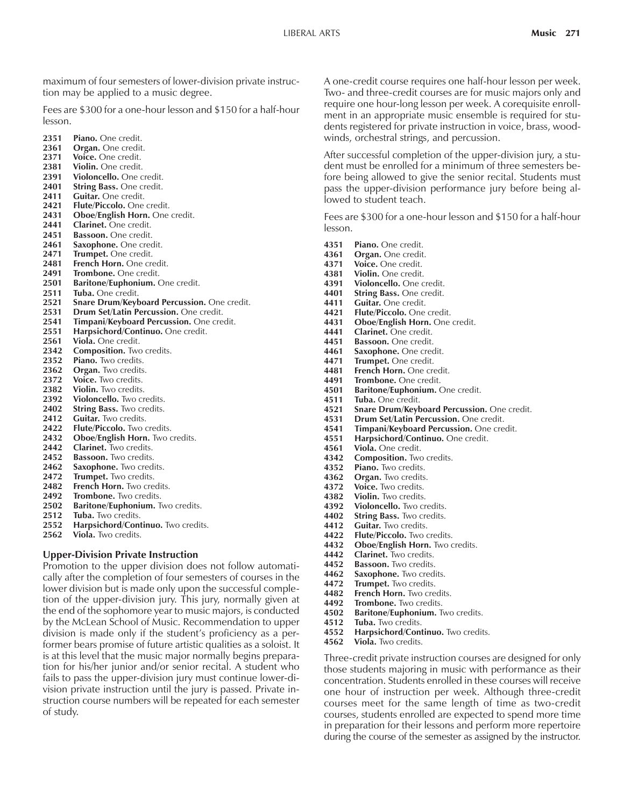maximum of four semesters of lower-division private instruction may be applied to a music degree.

Fees are \$300 for a one-hour lesson and \$150 for a half-hour lesson.

- **2351 Piano.** One credit.
- **2361 Organ.** One credit.
- 2371 **Voice.** One credit.<br>2381 **Violin**, One credit.
- **2381 Violin.** One credit.
- **2391 Violoncello.** One credit.
- **2401 String Bass.** One credit. Guitar. One credit.
- **2421 Flute/Piccolo.** One credit.
- 2431 **Oboe/English Horn.** One credit.
- **2441 Clarinet.** One credit.
- **2451 Bassoon.** One credit.
- **2461 Saxophone.** One credit.
- 2471 Trumpet. One credit.
- **2481 French Horn.** One credit.
- 
- 2491 **Trombone.** One credit.<br>2501 **Baritone/Euphonium.** 0 **2501 Baritone/Euphonium.** One credit.
- **2511 Tuba.** One credit.
- **2521 Snare Drum/Keyboard Percussion.** One credit.
- **2531 Drum Set/Latin Percussion.** One credit.
- **2541 Timpani/Keyboard Percussion.** One credit.
- **2551 Harpsichord/Continuo.** One credit.
- **2561 Viola.** One credit.
- **2342 Composition.** Two credits.
- **2352 Piano.** Two credits.
- **2362 Organ.** Two credits.
- 2372 Voice. Two credits.
- 2382 **Violin.** Two credits.<br>2392 **Violoncello**, Two cr
- **2392 Violoncello.** Two credits.
- 2402 String Bass. Two credits.
- 2412 **Guitar.** Two credits.<br>2422 **Flute/Piccolo.** Two
- **2422 Flute/Piccolo.** Two credits.
- **2432 Oboe/English Horn.** Two credits.
- **2442 Clarinet.** Two credits.
- **2452 Bassoon.** Two credits.
- **2462 Saxophone.** Two credits.
- 2472 Trumpet. Two credits.<br>2482 French Horn. Two cre
- **French Horn.** Two credits.
- 2492 **Trombone.** Two credits.
- **2502 Baritone/Euphonium.** Two credits.
- 2512 Tuba. Two credits.
- **2552 Harpsichord/Continuo.** Two credits.
- 2562 Viola. Two credits.

### **Upper-Division Private Instruction**

Promotion to the upper division does not follow automatically after the completion of four semesters of courses in the lower division but is made only upon the successful completion of the upper-division jury. This jury, normally given at the end of the sophomore year to music majors, is conducted by the McLean School of Music. Recommendation to upper division is made only if the student's proficiency as a performer bears promise of future artistic qualities as a soloist. It is at this level that the music major normally begins preparation for his/her junior and/or senior recital. A student who fails to pass the upper-division jury must continue lower-division private instruction until the jury is passed. Private instruction course numbers will be repeated for each semester of study.

A one-credit course requires one half-hour lesson per week. Two- and three-credit courses are for music majors only and require one hour-long lesson per week. A corequisite enrollment in an appropriate music ensemble is required for students registered for private instruction in voice, brass, woodwinds, orchestral strings, and percussion.

After successful completion of the upper-division jury, a student must be enrolled for a minimum of three semesters before being allowed to give the senior recital. Students must pass the upper-division performance jury before being allowed to student teach.

Fees are \$300 for a one-hour lesson and \$150 for a half-hour lesson.

- **4351 Piano.** One credit.
- **4361 Organ.** One credit.<br>**4371 Voice.** One credit.
- 4371 Voice. One credit.<br>4381 Violin. One credit.
- **4381 Violin.** One credit.
- **4391 Violoncello.** One credit.
- **4401 String Bass.** One credit.
- 4411 Guitar. One credit.<br>4421 Flute/Piccolo. One
- **4421 Flute/Piccolo.** One credit.
- **4431 Oboe/English Horn.** One credit.
- **4441 Clarinet.** One credit.
- **4451 Bassoon.** One credit.
- **4461 Saxophone.** One credit.<br>**4471 Trumpet.** One credit.
- **4471 Trumpet.** One credit.
- **4481 French Horn.** One credit.
- **4491 Trombone.** One credit.
- **4501 Baritone/Euphonium.** One credit.
- **4511 Tuba.** One credit.
- **4521 Snare Drum/Keyboard Percussion.** One credit.
- **4531 Drum Set/Latin Percussion.** One credit.
- **4541 Timpani/Keyboard Percussion.** One credit.
- **4551 Harpsichord/Continuo.** One credit.
- **4561 Viola.** One credit.
- **4342** Composition. Two credits.
- **4352 Piano.** Two credits.<br>**4362 Organ**. Two credits
- Organ. Two credits.
- **4372 Voice.** Two credits.
- 4382 **Violin.** Two credits.<br>4392 **Violoncello.** Two cr
- **4392 Violoncello.** Two credits.
- **4402 String Bass.** Two credits.<br>**4412 Guitar.** Two credits.
- **4412 Guitar.** Two credits.<br>**4422 Flute/Piccolo.** Two of
- **4422 Flute/Piccolo.** Two credits.
- **4432 Oboe/English Horn.** Two credits.
- 4442 **Clarinet.** Two credits.<br>4452 **Bassoon.** Two credits.
- **Bassoon.** Two credits.
- **4462 Saxophone.** Two credits.
- **4472 Trumpet.** Two credits.<br>**4482 French Horn**, Two cre
- French Horn. Two credits.
- **4492 Trombone.** Two credits.
- **4502 Baritone/Euphonium.** Two credits.
- Tuba. Two credits.
- **4552 Harpsichord/Continuo.** Two credits.
- **4562 Viola.** Two credits.

Three-credit private instruction courses are designed for only those students majoring in music with performance as their concentration. Students enrolled in these courses will receive one hour of instruction per week. Although three-credit courses meet for the same length of time as two-credit courses, students enrolled are expected to spend more time in preparation for their lessons and perform more repertoire during the course of the semester as assigned by the instructor.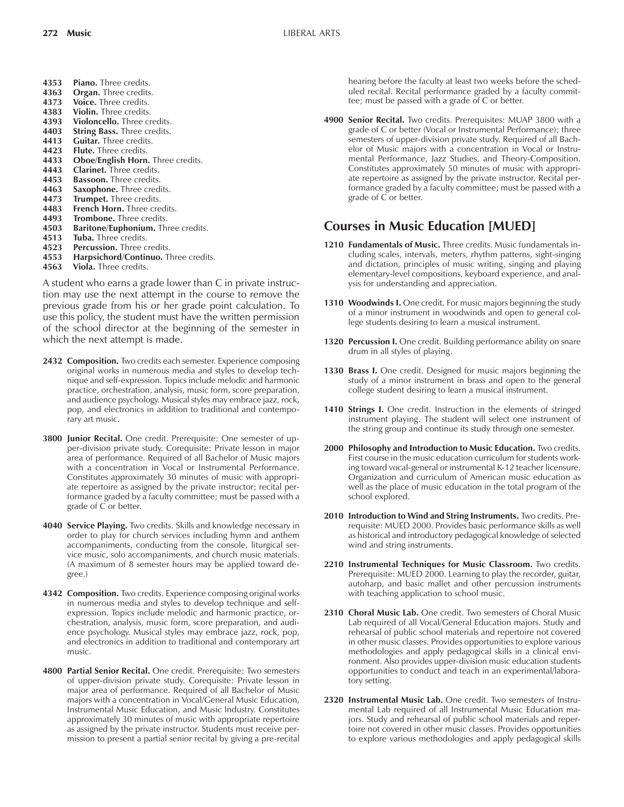- **4353 Piano.** Three credits.
- **4363 Organ.** Three credits.
- **4373 Voice.** Three credits.
- **4383 Violin.** Three credits.
- **4393 Violoncello.** Three credits.
- 4403 **String Bass.** Three credits.<br>4413 **Guitar.** Three credits.
- Guitar. Three credits.
- **4423 Flute.** Three credits.
- 4433 **Oboe/English Horn.** Three credits.<br>4443 **Clarinet.** Three credits.
- **4443 Clarinet.** Three credits.
- **4453 Bassoon.** Three credits.
- **4463 Saxophone.** Three credits. **4473 Trumpet.** Three credits.
- **4483 French Horn.** Three credits.
- 
- **4493 Trombone.** Three credits.<br>**4503 Baritone/Euphonium.** Th **4503 Baritone/Euphonium.** Three credits.
- **4513 Tuba.** Three credits.
- 4523 **Percussion.** Three credits.
- **4553 Harpsichord/Continuo.** Three credits.
- **4563 Viola.** Three credits.

A student who earns a grade lower than C in private instruction may use the next attempt in the course to remove the previous grade from his or her grade point calculation. To use this policy, the student must have the written permission of the school director at the beginning of the semester in which the next attempt is made.

- **2432 Composition.** Two credits each semester. Experience composing original works in numerous media and styles to develop technique and self-expression. Topics include melodic and harmonic practice, orchestration, analysis, music form, score preparation, and audience psychology. Musical styles may embrace jazz, rock, pop, and electronics in addition to traditional and contemporary art music.
- **3800 Junior Recital.** One credit. Prerequisite: One semester of upper-division private study. Corequisite: Private lesson in major area of performance. Required of all Bachelor of Music majors with a concentration in Vocal or Instrumental Performance. Constitutes approximately 30 minutes of music with appropriate repertoire as assigned by the private instructor; recital performance graded by a faculty committee; must be passed with a grade of C or better.
- **4040 Service Playing.** Two credits. Skills and knowledge necessary in order to play for church services including hymn and anthem accompaniments, conducting from the console, liturgical service music, solo accompaniments, and church music materials. (A maximum of 8 semester hours may be applied toward degree.)
- **4342 Composition.** Two credits. Experience composing original works in numerous media and styles to develop technique and selfexpression. Topics include melodic and harmonic practice, orchestration, analysis, music form, score preparation, and audience psychology. Musical styles may embrace jazz, rock, pop, and electronics in addition to traditional and contemporary art music.
- **4800 Partial Senior Recital.** One credit. Prerequisite: Two semesters of upper-division private study. Corequisite: Private lesson in major area of performance. Required of all Bachelor of Music majors with a concentration in Vocal/General Music Education, Instrumental Music Education, and Music Industry. Constitutes approximately 30 minutes of music with appropriate repertoire as assigned by the private instructor. Students must receive permission to present a partial senior recital by giving a pre-recital

hearing before the faculty at least two weeks before the scheduled recital. Recital performance graded by a faculty committee; must be passed with a grade of C or better.

**4900 Senior Recital.** Two credits. Prerequisites: MUAP 3800 with a grade of C or better (Vocal or Instrumental Performance); three semesters of upper-division private study. Required of all Bachelor of Music majors with a concentration in Vocal or Instrumental Performance, Jazz Studies, and Theory-Composition. Constitutes approximately 50 minutes of music with appropriate repertoire as assigned by the private instructor. Recital performance graded by a faculty committee; must be passed with a grade of C or better.

# **Courses in Music Education [MUED]**

- **1210 Fundamentals of Music.** Three credits. Music fundamentals including scales, intervals, meters, rhythm patterns, sight-singing and dictation, principles of music writing, singing and playing elementary-level compositions, keyboard experience, and analysis for understanding and appreciation.
- **1310 Woodwinds I.** One credit. For music majors beginning the study of a minor instrument in woodwinds and open to general college students desiring to learn a musical instrument.
- **1320 Percussion I.** One credit. Building performance ability on snare drum in all styles of playing.
- **1330 Brass I.** One credit. Designed for music majors beginning the study of a minor instrument in brass and open to the general college student desiring to learn a musical instrument.
- **1410 Strings I.** One credit. Instruction in the elements of stringed instrument playing. The student will select one instrument of the string group and continue its study through one semester.
- **2000 Philosophy and Introduction to Music Education.** Two credits. First course in the music education curriculum for students working toward vocal-general or instrumental K-12 teacher licensure. Organization and curriculum of American music education as well as the place of music education in the total program of the school explored.
- **2010 Introduction to Wind and String Instruments.** Two credits. Prerequisite: MUED 2000. Provides basic performance skills as well as historical and introductory pedagogical knowledge of selected wind and string instruments.
- **2210 Instrumental Techniques for Music Classroom.** Two credits. Prerequisite: MUED 2000. Learning to play the recorder, guitar, autoharp, and basic mallet and other percussion instruments with teaching application to school music.
- **2310 Choral Music Lab.** One credit. Two semesters of Choral Music Lab required of all Vocal/General Education majors. Study and rehearsal of public school materials and repertoire not covered in other music classes. Provides opportunities to explore various methodologies and apply pedagogical skills in a clinical environment. Also provides upper-division music education students opportunities to conduct and teach in an experimental/laboratory setting.
- **2320 Instrumental Music Lab.** One credit. Two semesters of Instrumental Lab required of all Instrumental Music Education majors. Study and rehearsal of public school materials and repertoire not covered in other music classes. Provides opportunities to explore various methodologies and apply pedagogical skills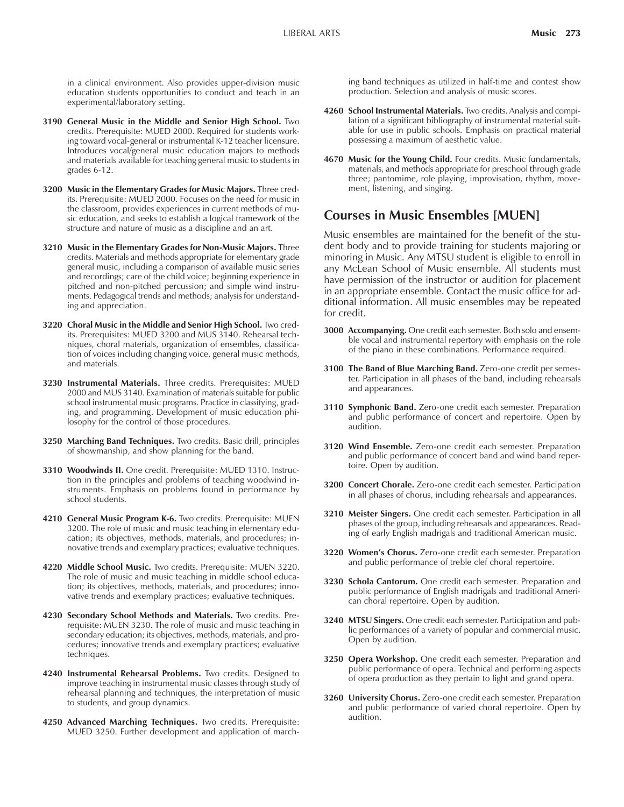in a clinical environment. Also provides upper-division music education students opportunities to conduct and teach in an experimental/laboratory setting.

- **3190 General Music in the Middle and Senior High School.** Two credits. Prerequisite: MUED 2000. Required for students working toward vocal-general or instrumental K-12 teacher licensure. Introduces vocal/general music education majors to methods and materials available for teaching general music to students in grades 6-12.
- **3200 Music in the Elementary Grades for Music Majors.** Three credits. Prerequisite: MUED 2000. Focuses on the need for music in the classroom, provides experiences in current methods of music education, and seeks to establish a logical framework of the structure and nature of music as a discipline and an art.
- **3210 Music in the Elementary Grades for Non-Music Majors.** Three credits. Materials and methods appropriate for elementary grade general music, including a comparison of available music series and recordings; care of the child voice; beginning experience in pitched and non-pitched percussion; and simple wind instruments. Pedagogical trends and methods; analysis for understanding and appreciation.
- **3220 Choral Music in the Middle and Senior High School.** Two credits. Prerequisites: MUED 3200 and MUS 3140. Rehearsal techniques, choral materials, organization of ensembles, classification of voices including changing voice, general music methods, and materials.
- **3230 Instrumental Materials.** Three credits. Prerequisites: MUED 2000 and MUS 3140. Examination of materials suitable for public school instrumental music programs. Practice in classifying, grading, and programming. Development of music education philosophy for the control of those procedures.
- **3250 Marching Band Techniques.** Two credits. Basic drill, principles of showmanship, and show planning for the band.
- **3310 Woodwinds II.** One credit. Prerequisite: MUED 1310. Instruction in the principles and problems of teaching woodwind instruments. Emphasis on problems found in performance by school students.
- **4210 General Music Program K-6.** Two credits. Prerequisite: MUEN 3200. The role of music and music teaching in elementary education; its objectives, methods, materials, and procedures; innovative trends and exemplary practices; evaluative techniques.
- **4220 Middle School Music.** Two credits. Prerequisite: MUEN 3220. The role of music and music teaching in middle school education; its objectives, methods, materials, and procedures; innovative trends and exemplary practices; evaluative techniques.
- **4230 Secondary School Methods and Materials.** Two credits. Prerequisite: MUEN 3230. The role of music and music teaching in secondary education; its objectives, methods, materials, and procedures; innovative trends and exemplary practices; evaluative techniques.
- **4240 Instrumental Rehearsal Problems.** Two credits. Designed to improve teaching in instrumental music classes through study of rehearsal planning and techniques, the interpretation of music to students, and group dynamics.
- **4250 Advanced Marching Techniques.** Two credits. Prerequisite: MUED 3250. Further development and application of march-

ing band techniques as utilized in half-time and contest show production. Selection and analysis of music scores.

- **4260 School Instrumental Materials.** Two credits. Analysis and compilation of a significant bibliography of instrumental material suitable for use in public schools. Emphasis on practical material possessing a maximum of aesthetic value.
- **4670 Music for the Young Child.** Four credits. Music fundamentals, materials, and methods appropriate for preschool through grade three; pantomime, role playing, improvisation, rhythm, movement, listening, and singing.

# **Courses in Music Ensembles [MUEN]**

Music ensembles are maintained for the benefit of the student body and to provide training for students majoring or minoring in Music. Any MTSU student is eligible to enroll in any McLean School of Music ensemble. All students must have permission of the instructor or audition for placement in an appropriate ensemble. Contact the music office for additional information. All music ensembles may be repeated for credit.

- **3000 Accompanying.** One credit each semester. Both solo and ensemble vocal and instrumental repertory with emphasis on the role of the piano in these combinations. Performance required.
- **3100 The Band of Blue Marching Band.** Zero-one credit per semester. Participation in all phases of the band, including rehearsals and appearances.
- **3110 Symphonic Band.** Zero-one credit each semester. Preparation and public performance of concert and repertoire. Open by audition.
- **3120 Wind Ensemble.** Zero-one credit each semester. Preparation and public performance of concert band and wind band repertoire. Open by audition.
- **3200 Concert Chorale.** Zero-one credit each semester. Participation in all phases of chorus, including rehearsals and appearances.
- **3210 Meister Singers.** One credit each semester. Participation in all phases of the group, including rehearsals and appearances. Reading of early English madrigals and traditional American music.
- **3220 Womenís Chorus.** Zero-one credit each semester. Preparation and public performance of treble clef choral repertoire.
- **3230 Schola Cantorum.** One credit each semester. Preparation and public performance of English madrigals and traditional American choral repertoire. Open by audition.
- **3240 MTSU Singers.** One credit each semester. Participation and public performances of a variety of popular and commercial music. Open by audition.
- **3250 Opera Workshop.** One credit each semester. Preparation and public performance of opera. Technical and performing aspects of opera production as they pertain to light and grand opera.
- **3260 University Chorus.** Zero-one credit each semester. Preparation and public performance of varied choral repertoire. Open by audition.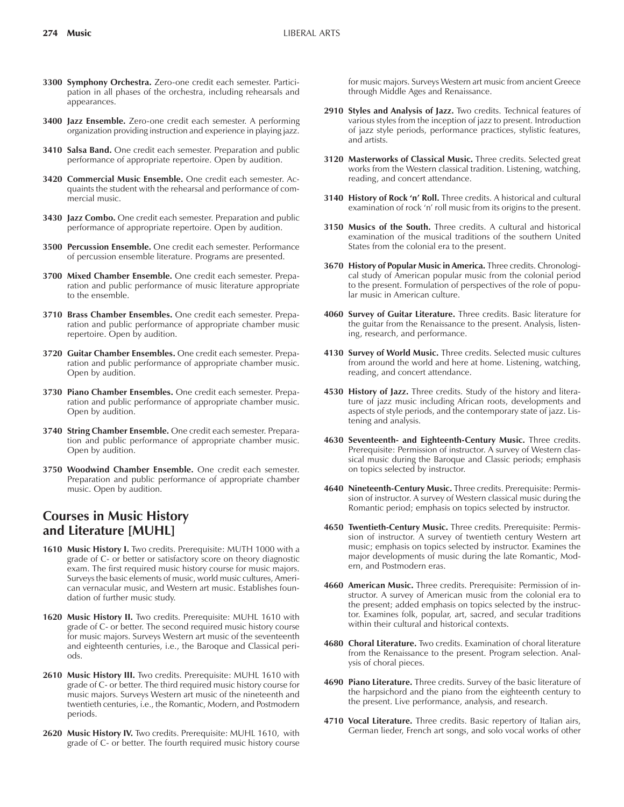- **3300 Symphony Orchestra.** Zero-one credit each semester. Participation in all phases of the orchestra, including rehearsals and appearances.
- **3400 Jazz Ensemble.** Zero-one credit each semester. A performing organization providing instruction and experience in playing jazz.
- **3410 Salsa Band.** One credit each semester. Preparation and public performance of appropriate repertoire. Open by audition.
- **3420 Commercial Music Ensemble.** One credit each semester. Acquaints the student with the rehearsal and performance of commercial music.
- **3430 Jazz Combo.** One credit each semester. Preparation and public performance of appropriate repertoire. Open by audition.
- **3500 Percussion Ensemble.** One credit each semester. Performance of percussion ensemble literature. Programs are presented.
- **3700 Mixed Chamber Ensemble.** One credit each semester. Preparation and public performance of music literature appropriate to the ensemble.
- **3710 Brass Chamber Ensembles.** One credit each semester. Preparation and public performance of appropriate chamber music repertoire. Open by audition.
- **3720 Guitar Chamber Ensembles.** One credit each semester. Preparation and public performance of appropriate chamber music. Open by audition.
- **3730 Piano Chamber Ensembles.** One credit each semester. Preparation and public performance of appropriate chamber music. Open by audition.
- **3740 String Chamber Ensemble.** One credit each semester. Preparation and public performance of appropriate chamber music. Open by audition.
- **3750 Woodwind Chamber Ensemble.** One credit each semester. Preparation and public performance of appropriate chamber music. Open by audition.

# **Courses in Music History and Literature [MUHL]**

- 1610 Music History I. Two credits. Prerequisite: MUTH 1000 with a grade of C- or better or satisfactory score on theory diagnostic exam. The first required music history course for music majors. Surveys the basic elements of music, world music cultures, American vernacular music, and Western art music. Establishes foundation of further music study.
- **1620 Music History II.** Two credits. Prerequisite: MUHL 1610 with grade of C- or better. The second required music history course for music majors. Surveys Western art music of the seventeenth and eighteenth centuries, i.e., the Baroque and Classical periods.
- **2610 Music History III.** Two credits. Prerequisite: MUHL 1610 with grade of C- or better. The third required music history course for music majors. Surveys Western art music of the nineteenth and twentieth centuries, i.e., the Romantic, Modern, and Postmodern periods.
- **2620 Music History IV.** Two credits. Prerequisite: MUHL 1610, with grade of C- or better. The fourth required music history course

for music majors. Surveys Western art music from ancient Greece through Middle Ages and Renaissance.

- **2910 Styles and Analysis of Jazz.** Two credits. Technical features of various styles from the inception of jazz to present. Introduction of jazz style periods, performance practices, stylistic features, and artists.
- **3120 Masterworks of Classical Music.** Three credits. Selected great works from the Western classical tradition. Listening, watching, reading, and concert attendance.
- 3140 History of Rock 'n' Roll. Three credits. A historical and cultural examination of rock 'n' roll music from its origins to the present.
- **3150 Musics of the South.** Three credits. A cultural and historical examination of the musical traditions of the southern United States from the colonial era to the present.
- **3670 History of Popular Music in America.** Three credits. Chronological study of American popular music from the colonial period to the present. Formulation of perspectives of the role of popular music in American culture.
- **4060 Survey of Guitar Literature.** Three credits. Basic literature for the guitar from the Renaissance to the present. Analysis, listening, research, and performance.
- **4130 Survey of World Music.** Three credits. Selected music cultures from around the world and here at home. Listening, watching, reading, and concert attendance.
- **4530 History of Jazz.** Three credits. Study of the history and literature of jazz music including African roots, developments and aspects of style periods, and the contemporary state of jazz. Listening and analysis.
- **4630 Seventeenth- and Eighteenth-Century Music.** Three credits. Prerequisite: Permission of instructor. A survey of Western classical music during the Baroque and Classic periods; emphasis on topics selected by instructor.
- **4640 Nineteenth-Century Music.** Three credits. Prerequisite: Permission of instructor. A survey of Western classical music during the Romantic period; emphasis on topics selected by instructor.
- **4650 Twentieth-Century Music.** Three credits. Prerequisite: Permission of instructor. A survey of twentieth century Western art music; emphasis on topics selected by instructor. Examines the major developments of music during the late Romantic, Modern, and Postmodern eras.
- **4660 American Music.** Three credits. Prerequisite: Permission of instructor. A survey of American music from the colonial era to the present; added emphasis on topics selected by the instructor. Examines folk, popular, art, sacred, and secular traditions within their cultural and historical contexts.
- **4680 Choral Literature.** Two credits. Examination of choral literature from the Renaissance to the present. Program selection. Analysis of choral pieces.
- **4690 Piano Literature.** Three credits. Survey of the basic literature of the harpsichord and the piano from the eighteenth century to the present. Live performance, analysis, and research.
- **4710 Vocal Literature.** Three credits. Basic repertory of Italian airs, German lieder, French art songs, and solo vocal works of other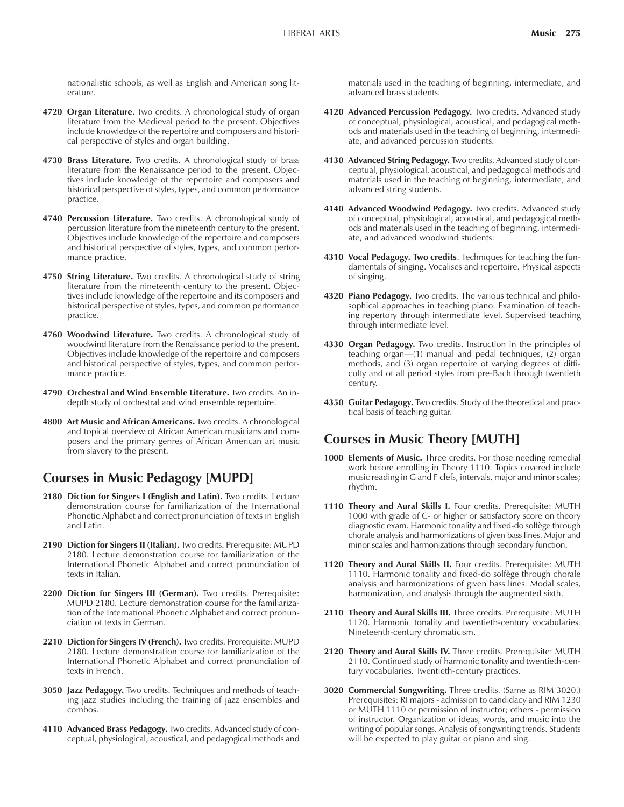nationalistic schools, as well as English and American song literature.

- **4720 Organ Literature.** Two credits. A chronological study of organ literature from the Medieval period to the present. Objectives include knowledge of the repertoire and composers and historical perspective of styles and organ building.
- **4730 Brass Literature.** Two credits. A chronological study of brass literature from the Renaissance period to the present. Objectives include knowledge of the repertoire and composers and historical perspective of styles, types, and common performance practice.
- **4740 Percussion Literature.** Two credits. A chronological study of percussion literature from the nineteenth century to the present. Objectives include knowledge of the repertoire and composers and historical perspective of styles, types, and common performance practice.
- **4750 String Literature.** Two credits. A chronological study of string literature from the nineteenth century to the present. Objectives include knowledge of the repertoire and its composers and historical perspective of styles, types, and common performance practice.
- **4760 Woodwind Literature.** Two credits. A chronological study of woodwind literature from the Renaissance period to the present. Objectives include knowledge of the repertoire and composers and historical perspective of styles, types, and common performance practice.
- **4790 Orchestral and Wind Ensemble Literature.** Two credits. An indepth study of orchestral and wind ensemble repertoire.
- **4800 Art Music and African Americans.** Two credits. A chronological and topical overview of African American musicians and composers and the primary genres of African American art music from slavery to the present.

# **Courses in Music Pedagogy [MUPD]**

- 2180 Diction for Singers I (English and Latin). Two credits. Lecture demonstration course for familiarization of the International Phonetic Alphabet and correct pronunciation of texts in English and Latin.
- **2190 Diction for Singers II (Italian).** Two credits. Prerequisite: MUPD 2180. Lecture demonstration course for familiarization of the International Phonetic Alphabet and correct pronunciation of texts in Italian.
- **2200 Diction for Singers III (German).** Two credits. Prerequisite: MUPD 2180. Lecture demonstration course for the familiarization of the International Phonetic Alphabet and correct pronunciation of texts in German.
- **2210 Diction for Singers IV (French).** Two credits. Prerequisite: MUPD 2180. Lecture demonstration course for familiarization of the International Phonetic Alphabet and correct pronunciation of texts in French.
- **3050 Jazz Pedagogy.** Two credits. Techniques and methods of teaching jazz studies including the training of jazz ensembles and combos.
- **4110 Advanced Brass Pedagogy.** Two credits. Advanced study of conceptual, physiological, acoustical, and pedagogical methods and

materials used in the teaching of beginning, intermediate, and advanced brass students.

- **4120 Advanced Percussion Pedagogy.** Two credits. Advanced study of conceptual, physiological, acoustical, and pedagogical methods and materials used in the teaching of beginning, intermediate, and advanced percussion students.
- **4130 Advanced String Pedagogy.** Two credits. Advanced study of conceptual, physiological, acoustical, and pedagogical methods and materials used in the teaching of beginning, intermediate, and advanced string students.
- **4140 Advanced Woodwind Pedagogy.** Two credits. Advanced study of conceptual, physiological, acoustical, and pedagogical methods and materials used in the teaching of beginning, intermediate, and advanced woodwind students.
- **4310 Vocal Pedagogy. Two credits**. Techniques for teaching the fundamentals of singing. Vocalises and repertoire. Physical aspects of singing.
- **4320 Piano Pedagogy.** Two credits. The various technical and philosophical approaches in teaching piano. Examination of teaching repertory through intermediate level. Supervised teaching through intermediate level.
- **4330 Organ Pedagogy.** Two credits. Instruction in the principles of teaching organ—(1) manual and pedal techniques, (2) organ methods, and (3) organ repertoire of varying degrees of difficulty and of all period styles from pre-Bach through twentieth century.
- **4350 Guitar Pedagogy.** Two credits. Study of the theoretical and practical basis of teaching guitar.

# **Courses in Music Theory [MUTH]**

- **1000 Elements of Music.** Three credits. For those needing remedial work before enrolling in Theory 1110. Topics covered include music reading in G and F clefs, intervals, major and minor scales; rhythm.
- **1110 Theory and Aural Skills I.** Four credits. Prerequisite: MUTH 1000 with grade of C- or higher or satisfactory score on theory diagnostic exam. Harmonic tonality and fixed-do solfège through chorale analysis and harmonizations of given bass lines. Major and minor scales and harmonizations through secondary function.
- **1120 Theory and Aural Skills II.** Four credits. Prerequisite: MUTH 1110. Harmonic tonality and fixed-do solfège through chorale analysis and harmonizations of given bass lines. Modal scales, harmonization, and analysis through the augmented sixth.
- **2110 Theory and Aural Skills III.** Three credits. Prerequisite: MUTH 1120. Harmonic tonality and twentieth-century vocabularies. Nineteenth-century chromaticism.
- **2120 Theory and Aural Skills IV.** Three credits. Prerequisite: MUTH 2110. Continued study of harmonic tonality and twentieth-century vocabularies. Twentieth-century practices.
- **3020 Commercial Songwriting.** Three credits. (Same as RIM 3020.) Prerequisites: RI majors - admission to candidacy and RIM 1230 or MUTH 1110 or permission of instructor; others - permission of instructor. Organization of ideas, words, and music into the writing of popular songs. Analysis of songwriting trends. Students will be expected to play guitar or piano and sing.